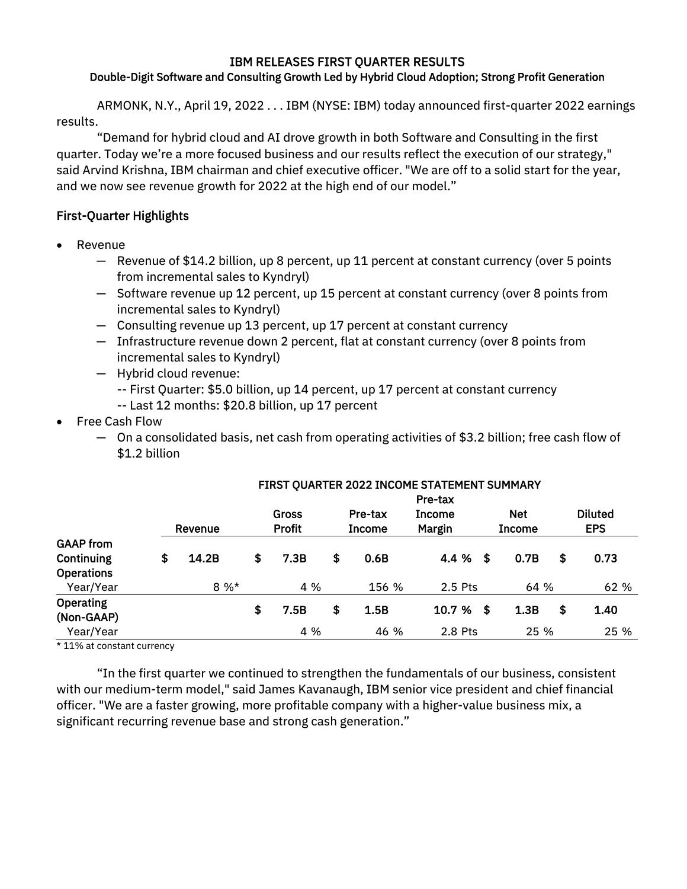### IBM RELEASES FIRST QUARTER RESULTS Double-Digit Software and Consulting Growth Led by Hybrid Cloud Adoption; Strong Profit Generation

ARMONK, N.Y., April 19, 2022 . . . IBM (NYSE: IBM) today announced first-quarter 2022 earnings results.

"Demand for hybrid cloud and AI drove growth in both Software and Consulting in the first quarter. Today we're a more focused business and our results reflect the execution of our strategy," said Arvind Krishna, IBM chairman and chief executive officer. "We are off to a solid start for the year, and we now see revenue growth for 2022 at the high end of our model."

# First-Quarter Highlights

- Revenue
	- ─ Revenue of \$14.2 billion, up 8 percent, up 11 percent at constant currency (over 5 points from incremental sales to Kyndryl)
	- ─ Software revenue up 12 percent, up 15 percent at constant currency (over 8 points from incremental sales to Kyndryl)
	- ─ Consulting revenue up 13 percent, up 17 percent at constant currency
	- $-$  Infrastructure revenue down 2 percent, flat at constant currency (over 8 points from incremental sales to Kyndryl)
	- ─ Hybrid cloud revenue:
		- -- First Quarter: \$5.0 billion, up 14 percent, up 17 percent at constant currency
		- -- Last 12 months: \$20.8 billion, up 17 percent
- Free Cash Flow
	- ─ On a consolidated basis, net cash from operating activities of \$3.2 billion; free cash flow of \$1.2 billion

|                   |             |               |               | Pre-tax       |      |               |                |
|-------------------|-------------|---------------|---------------|---------------|------|---------------|----------------|
|                   |             | <b>Gross</b>  | Pre-tax       | <b>Income</b> |      | <b>Net</b>    | <b>Diluted</b> |
|                   | Revenue     | <b>Profit</b> | <b>Income</b> | Margin        |      | <b>Income</b> | <b>EPS</b>     |
| <b>GAAP from</b>  |             |               |               |               |      |               |                |
| Continuing        | \$<br>14.2B | \$<br>7.3B    | \$<br>0.6B    | 4.4 %         | - \$ | 0.7B          | \$<br>0.73     |
| <b>Operations</b> |             |               |               |               |      |               |                |
| Year/Year         | $8 \%$ *    | 4 %           | 156 %         | 2.5 Pts       |      | 64 %          | 62 %           |
| <b>Operating</b>  |             |               |               |               |      |               |                |
| (Non-GAAP)        |             | \$<br>7.5B    | \$<br>1.5B    | 10.7 %        | - \$ | 1.3B          | \$<br>1.40     |
| Year/Year         |             | 4 %           | 46 %          | 2.8 Pts       |      | 25 %          | 25 %           |

# FIRST QUARTER 2022 INCOME STATEMENT SUMMARY

\* 11% at constant currency

"In the first quarter we continued to strengthen the fundamentals of our business, consistent with our medium-term model," said James Kavanaugh, IBM senior vice president and chief financial officer. "We are a faster growing, more profitable company with a higher-value business mix, a significant recurring revenue base and strong cash generation."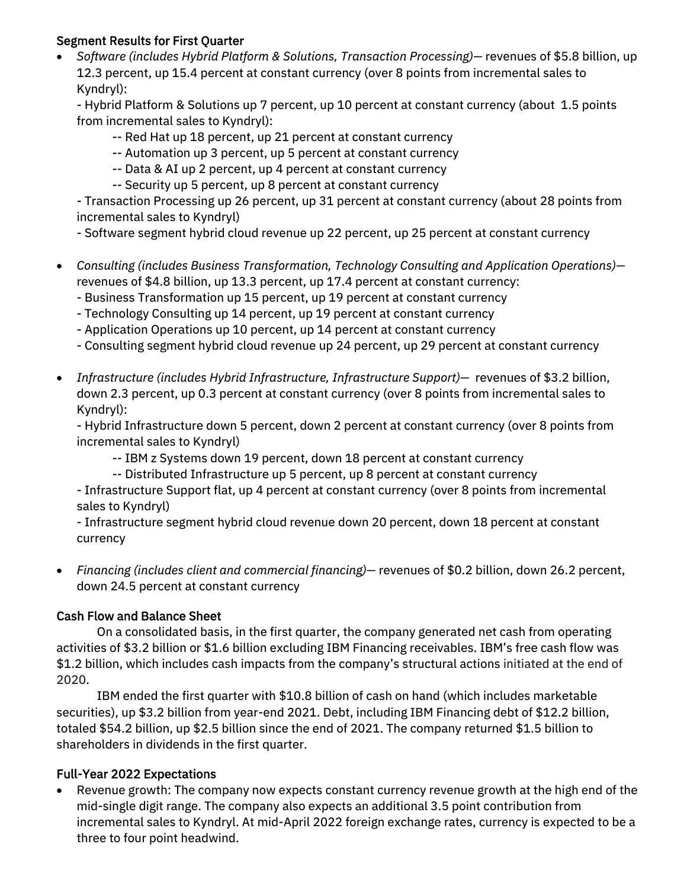## Segment Results for First Quarter

 *Software (includes Hybrid Platform & Solutions, Transaction Processing)—* revenues of \$5.8 billion, up 12.3 percent, up 15.4 percent at constant currency (over 8 points from incremental sales to Kyndryl):

- Hybrid Platform & Solutions up 7 percent, up 10 percent at constant currency (about 1.5 points from incremental sales to Kyndryl):

- -- Red Hat up 18 percent, up 21 percent at constant currency
- -- Automation up 3 percent, up 5 percent at constant currency
- -- Data & AI up 2 percent, up 4 percent at constant currency
- -- Security up 5 percent, up 8 percent at constant currency

- Transaction Processing up 26 percent, up 31 percent at constant currency (about 28 points from incremental sales to Kyndryl)

- Software segment hybrid cloud revenue up 22 percent, up 25 percent at constant currency

- *Consulting (includes Business Transformation, Technology Consulting and Application Operations)* revenues of \$4.8 billion, up 13.3 percent, up 17.4 percent at constant currency:
	- Business Transformation up 15 percent, up 19 percent at constant currency
	- Technology Consulting up 14 percent, up 19 percent at constant currency
	- Application Operations up 10 percent, up 14 percent at constant currency

- Consulting segment hybrid cloud revenue up 24 percent, up 29 percent at constant currency

 *Infrastructure (includes Hybrid Infrastructure, Infrastructure Support)—* revenues of \$3.2 billion, down 2.3 percent, up 0.3 percent at constant currency (over 8 points from incremental sales to Kyndryl):

- Hybrid Infrastructure down 5 percent, down 2 percent at constant currency (over 8 points from incremental sales to Kyndryl)

- -- IBM z Systems down 19 percent, down 18 percent at constant currency
- -- Distributed Infrastructure up 5 percent, up 8 percent at constant currency

- Infrastructure Support flat, up 4 percent at constant currency (over 8 points from incremental sales to Kyndryl)

- Infrastructure segment hybrid cloud revenue down 20 percent, down 18 percent at constant currency

 *Financing (includes client and commercial financing)—* revenues of \$0.2 billion, down 26.2 percent, down 24.5 percent at constant currency

## Cash Flow and Balance Sheet

On a consolidated basis, in the first quarter, the company generated net cash from operating activities of \$3.2 billion or \$1.6 billion excluding IBM Financing receivables. IBM's free cash flow was \$1.2 billion, which includes cash impacts from the company's structural actions initiated at the end of 2020.

IBM ended the first quarter with \$10.8 billion of cash on hand (which includes marketable securities), up \$3.2 billion from year-end 2021. Debt, including IBM Financing debt of \$12.2 billion, totaled \$54.2 billion, up \$2.5 billion since the end of 2021. The company returned \$1.5 billion to shareholders in dividends in the first quarter.

# Full-Year 2022 Expectations

 Revenue growth: The company now expects constant currency revenue growth at the high end of the mid-single digit range. The company also expects an additional 3.5 point contribution from incremental sales to Kyndryl. At mid-April 2022 foreign exchange rates, currency is expected to be a three to four point headwind.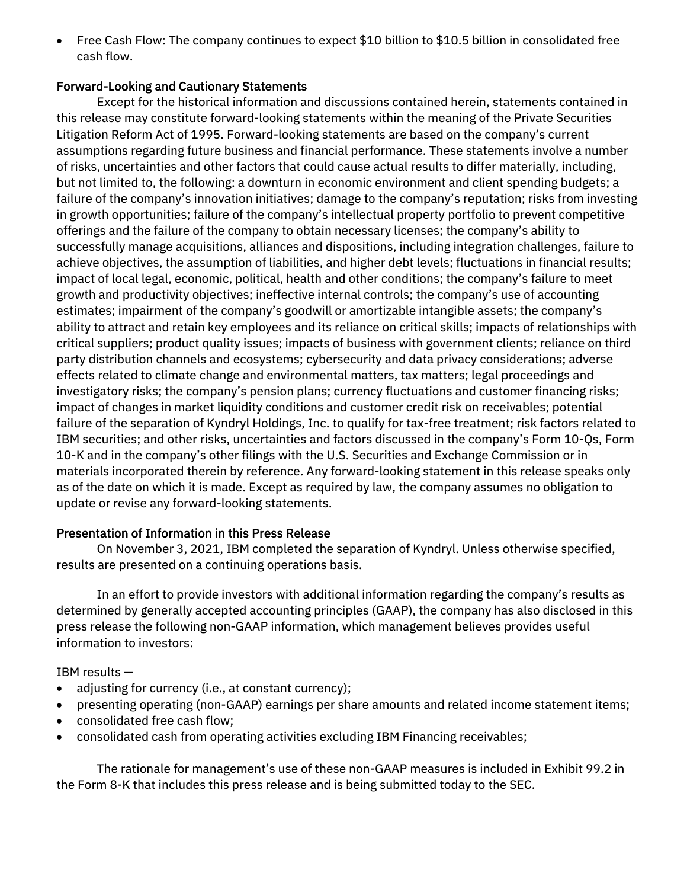Free Cash Flow: The company continues to expect \$10 billion to \$10.5 billion in consolidated free cash flow.

### Forward-Looking and Cautionary Statements

Except for the historical information and discussions contained herein, statements contained in this release may constitute forward-looking statements within the meaning of the Private Securities Litigation Reform Act of 1995. Forward-looking statements are based on the company's current assumptions regarding future business and financial performance. These statements involve a number of risks, uncertainties and other factors that could cause actual results to differ materially, including, but not limited to, the following: a downturn in economic environment and client spending budgets; a failure of the company's innovation initiatives; damage to the company's reputation; risks from investing in growth opportunities; failure of the company's intellectual property portfolio to prevent competitive offerings and the failure of the company to obtain necessary licenses; the company's ability to successfully manage acquisitions, alliances and dispositions, including integration challenges, failure to achieve objectives, the assumption of liabilities, and higher debt levels; fluctuations in financial results; impact of local legal, economic, political, health and other conditions; the company's failure to meet growth and productivity objectives; ineffective internal controls; the company's use of accounting estimates; impairment of the company's goodwill or amortizable intangible assets; the company's ability to attract and retain key employees and its reliance on critical skills; impacts of relationships with critical suppliers; product quality issues; impacts of business with government clients; reliance on third party distribution channels and ecosystems; cybersecurity and data privacy considerations; adverse effects related to climate change and environmental matters, tax matters; legal proceedings and investigatory risks; the company's pension plans; currency fluctuations and customer financing risks; impact of changes in market liquidity conditions and customer credit risk on receivables; potential failure of the separation of Kyndryl Holdings, Inc. to qualify for tax-free treatment; risk factors related to IBM securities; and other risks, uncertainties and factors discussed in the company's Form 10-Qs, Form 10-K and in the company's other filings with the U.S. Securities and Exchange Commission or in materials incorporated therein by reference. Any forward-looking statement in this release speaks only as of the date on which it is made. Except as required by law, the company assumes no obligation to update or revise any forward-looking statements.

## Presentation of Information in this Press Release

On November 3, 2021, IBM completed the separation of Kyndryl. Unless otherwise specified, results are presented on a continuing operations basis.

In an effort to provide investors with additional information regarding the company's results as determined by generally accepted accounting principles (GAAP), the company has also disclosed in this press release the following non-GAAP information, which management believes provides useful information to investors:

IBM results —

- adjusting for currency (i.e., at constant currency);
- presenting operating (non-GAAP) earnings per share amounts and related income statement items;
- consolidated free cash flow;
- consolidated cash from operating activities excluding IBM Financing receivables;

The rationale for management's use of these non-GAAP measures is included in Exhibit 99.2 in the Form 8-K that includes this press release and is being submitted today to the SEC.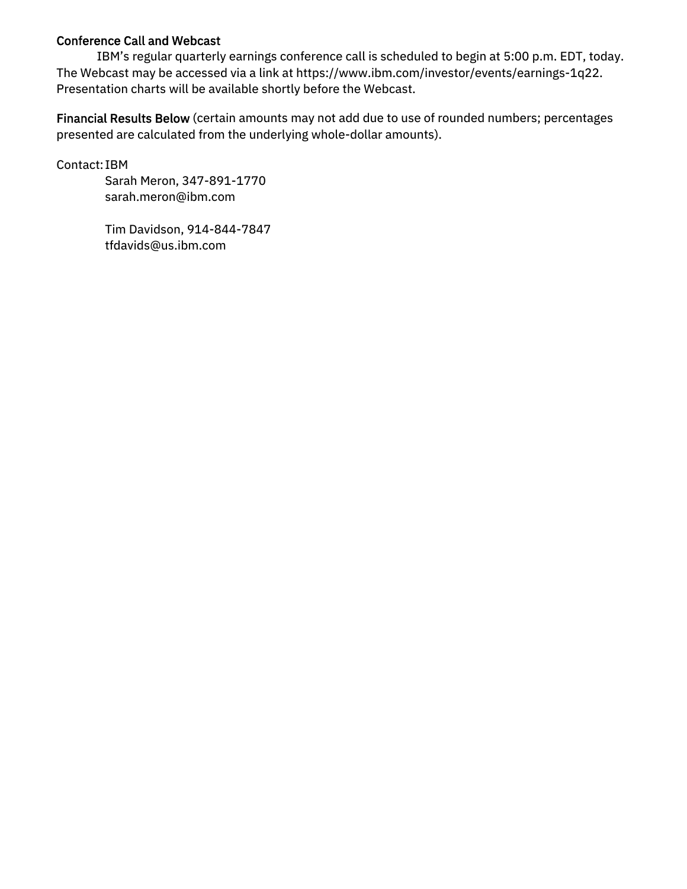### Conference Call and Webcast

IBM's regular quarterly earnings conference call is scheduled to begin at 5:00 p.m. EDT, today. The Webcast may be accessed via a link at https://www.ibm.com/investor/events/earnings-1q22. Presentation charts will be available shortly before the Webcast.

Financial Results Below (certain amounts may not add due to use of rounded numbers; percentages presented are calculated from the underlying whole-dollar amounts).

Contact: IBM

 Sarah Meron, 347-891-1770 sarah.meron@ibm.com

 Tim Davidson, 914-844-7847 tfdavids@us.ibm.com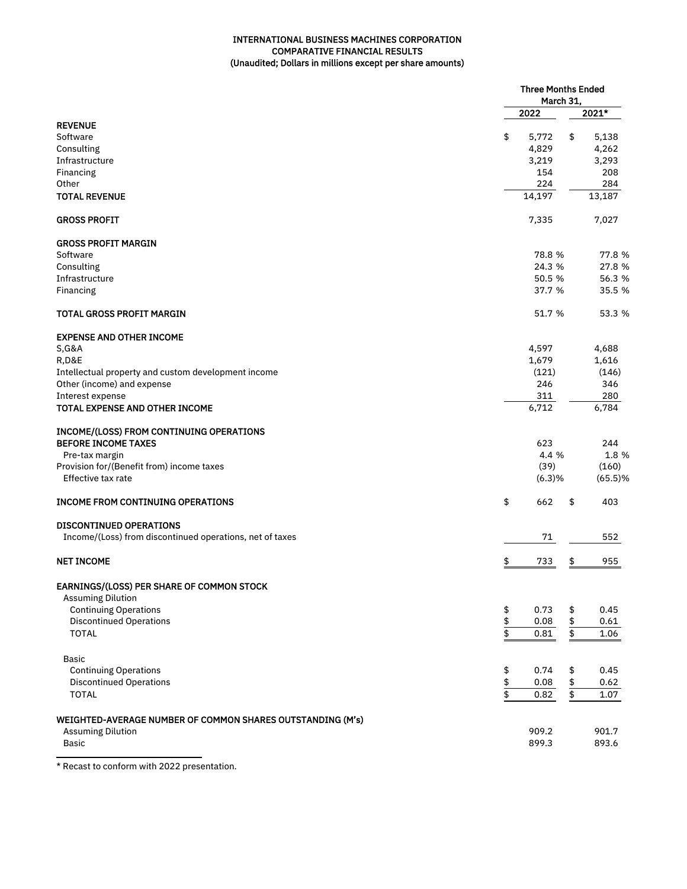#### INTERNATIONAL BUSINESS MACHINES CORPORATION COMPARATIVE FINANCIAL RESULTS (Unaudited; Dollars in millions except per share amounts)

|                                                            |               | <b>Three Months Ended</b><br>March 31, |                 |         |
|------------------------------------------------------------|---------------|----------------------------------------|-----------------|---------|
|                                                            |               | 2022                                   |                 | 2021*   |
| <b>REVENUE</b>                                             |               |                                        |                 |         |
| Software                                                   | \$            | 5,772                                  | \$              | 5,138   |
| Consulting                                                 |               | 4,829                                  |                 | 4,262   |
| Infrastructure                                             |               | 3,219                                  |                 | 3,293   |
| Financing                                                  |               | 154                                    |                 | 208     |
| Other                                                      |               | 224                                    |                 | 284     |
| <b>TOTAL REVENUE</b>                                       |               | 14,197                                 |                 | 13,187  |
| <b>GROSS PROFIT</b>                                        |               | 7,335                                  |                 | 7,027   |
| <b>GROSS PROFIT MARGIN</b>                                 |               |                                        |                 |         |
| Software                                                   |               | 78.8 %                                 |                 | 77.8 %  |
| Consulting                                                 |               | 24.3 %                                 |                 | 27.8 %  |
| Infrastructure                                             |               | 50.5 %                                 |                 | 56.3 %  |
| Financing                                                  |               | 37.7 %                                 |                 | 35.5 %  |
| <b>TOTAL GROSS PROFIT MARGIN</b>                           |               | 51.7 %                                 |                 | 53.3 %  |
| <b>EXPENSE AND OTHER INCOME</b>                            |               |                                        |                 |         |
| <b>S, G&amp;A</b>                                          |               | 4,597                                  |                 | 4,688   |
| <b>R,D&amp;E</b>                                           |               | 1,679                                  |                 | 1,616   |
| Intellectual property and custom development income        |               | (121)                                  |                 | (146)   |
| Other (income) and expense                                 |               | 246                                    |                 | 346     |
| Interest expense                                           |               | 311                                    |                 | 280     |
| TOTAL EXPENSE AND OTHER INCOME                             |               | 6,712                                  |                 | 6,784   |
| INCOME/(LOSS) FROM CONTINUING OPERATIONS                   |               |                                        |                 |         |
| <b>BEFORE INCOME TAXES</b>                                 |               | 623                                    |                 | 244     |
| Pre-tax margin                                             |               | 4.4 %                                  |                 | 1.8 %   |
| Provision for/(Benefit from) income taxes                  |               | (39)                                   |                 | (160)   |
| Effective tax rate                                         |               | (6.3)%                                 |                 | (65.5)% |
| <b>INCOME FROM CONTINUING OPERATIONS</b>                   | \$            | 662                                    | \$              | 403     |
| <b>DISCONTINUED OPERATIONS</b>                             |               |                                        |                 |         |
| Income/(Loss) from discontinued operations, net of taxes   |               | 71                                     |                 | 552     |
| <b>NET INCOME</b>                                          | \$            | 733                                    | \$              | 955     |
| <b>EARNINGS/(LOSS) PER SHARE OF COMMON STOCK</b>           |               |                                        |                 |         |
| <b>Assuming Dilution</b>                                   |               |                                        |                 |         |
| <b>Continuing Operations</b>                               | \$            | 0.73                                   | \$              | 0.45    |
| <b>Discontinued Operations</b>                             |               | 0.08                                   | \$              | 0.61    |
| <b>TOTAL</b>                                               | $\frac{6}{9}$ | 0.81                                   | $\overline{\$}$ | 1.06    |
| <b>Basic</b>                                               |               |                                        |                 |         |
| <b>Continuing Operations</b>                               | \$            | 0.74                                   | \$              | 0.45    |
| <b>Discontinued Operations</b>                             |               | 0.08                                   | \$              | 0.62    |
| <b>TOTAL</b>                                               | $\frac{6}{9}$ | 0.82                                   | \$              | 1.07    |
| WEIGHTED-AVERAGE NUMBER OF COMMON SHARES OUTSTANDING (M's) |               |                                        |                 |         |
| <b>Assuming Dilution</b>                                   |               | 909.2                                  |                 | 901.7   |
| <b>Basic</b>                                               |               | 899.3                                  |                 | 893.6   |
|                                                            |               |                                        |                 |         |

\* Recast to conform with 2022 presentation.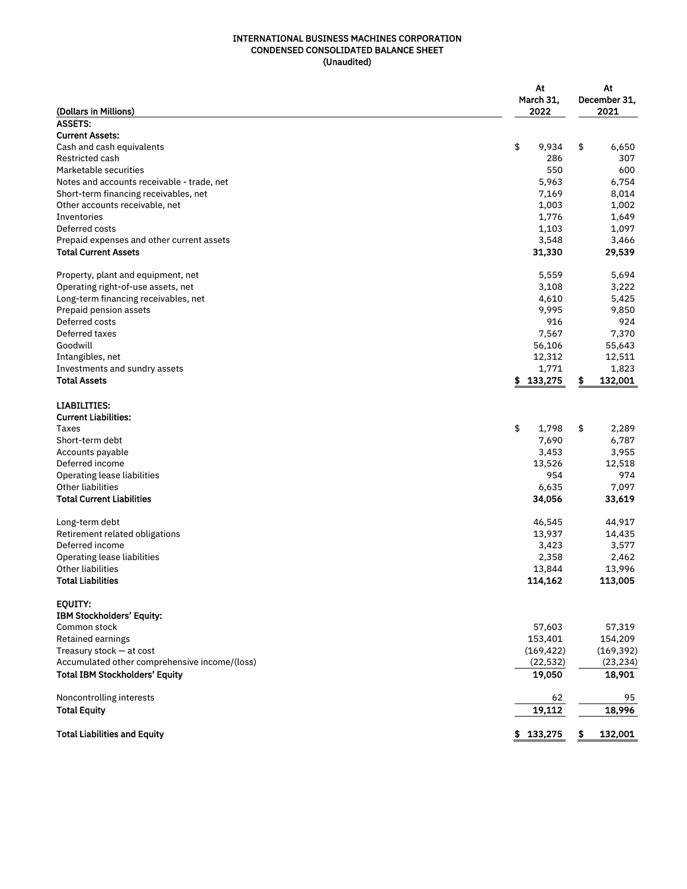#### INTERNATIONAL BUSINESS MACHINES CORPORATION CONDENSED CONSOLIDATED BALANCE SHEET (Unaudited)

| (Dollars in Millions)                              | At<br>March 31,<br>2022 | At<br>December 31,<br>2021 |
|----------------------------------------------------|-------------------------|----------------------------|
| <b>ASSETS:</b>                                     |                         |                            |
| <b>Current Assets:</b>                             |                         |                            |
| Cash and cash equivalents                          | \$<br>9,934             | \$<br>6,650                |
| <b>Restricted cash</b>                             | 286                     | 307                        |
| Marketable securities                              | 550                     | 600                        |
| Notes and accounts receivable - trade, net         | 5,963                   | 6,754                      |
| Short-term financing receivables, net              | 7,169                   | 8,014                      |
| Other accounts receivable, net                     | 1,003                   | 1,002                      |
| Inventories                                        | 1,776                   | 1,649                      |
| Deferred costs                                     | 1,103                   | 1,097                      |
| Prepaid expenses and other current assets          | 3,548                   | 3,466                      |
| <b>Total Current Assets</b>                        | 31,330                  | 29,539                     |
| Property, plant and equipment, net                 | 5,559                   | 5,694                      |
| Operating right-of-use assets, net                 | 3,108                   | 3,222                      |
| Long-term financing receivables, net               | 4,610                   | 5,425                      |
| Prepaid pension assets                             | 9,995                   | 9,850                      |
| Deferred costs                                     | 916                     | 924                        |
| Deferred taxes                                     | 7,567                   | 7,370                      |
| Goodwill                                           | 56,106                  | 55,643                     |
| Intangibles, net                                   | 12,312                  | 12,511                     |
| Investments and sundry assets                      | 1,771                   | 1,823                      |
| <b>Total Assets</b>                                | \$133,275               | \$<br>132,001              |
| <b>LIABILITIES:</b><br><b>Current Liabilities:</b> |                         |                            |
| <b>Taxes</b>                                       | \$<br>1,798             | \$<br>2,289                |
| Short-term debt                                    | 7,690                   | 6,787                      |
| Accounts payable                                   | 3,453                   | 3,955                      |
| Deferred income                                    | 13,526                  | 12,518                     |
| Operating lease liabilities                        | 954                     | 974                        |
| Other liabilities                                  | 6,635                   | 7,097                      |
| <b>Total Current Liabilities</b>                   | 34,056                  | 33,619                     |
| Long-term debt                                     | 46,545                  | 44,917                     |
| Retirement related obligations                     | 13,937                  | 14,435                     |
| Deferred income                                    | 3,423                   | 3,577                      |
| Operating lease liabilities                        | 2,358                   | 2,462                      |
| Other liabilities                                  | 13,844                  | 13,996                     |
| <b>Total Liabilities</b>                           | 114,162                 | 113,005                    |
| EQUITY:<br><b>IBM Stockholders' Equity:</b>        |                         |                            |
| Common stock                                       | 57,603                  | 57,319                     |
| Retained earnings                                  | 153,401                 | 154,209                    |
| Treasury stock - at cost                           | (169, 422)              | (169, 392)                 |
| Accumulated other comprehensive income/(loss)      | (22, 532)               | (23, 234)                  |
| <b>Total IBM Stockholders' Equity</b>              | 19,050                  | 18,901                     |
| Noncontrolling interests                           | 62                      | 95                         |
| <b>Total Equity</b>                                | 19,112                  | 18,996                     |
| <b>Total Liabilities and Equity</b>                | \$133,275               | \$<br>132,001              |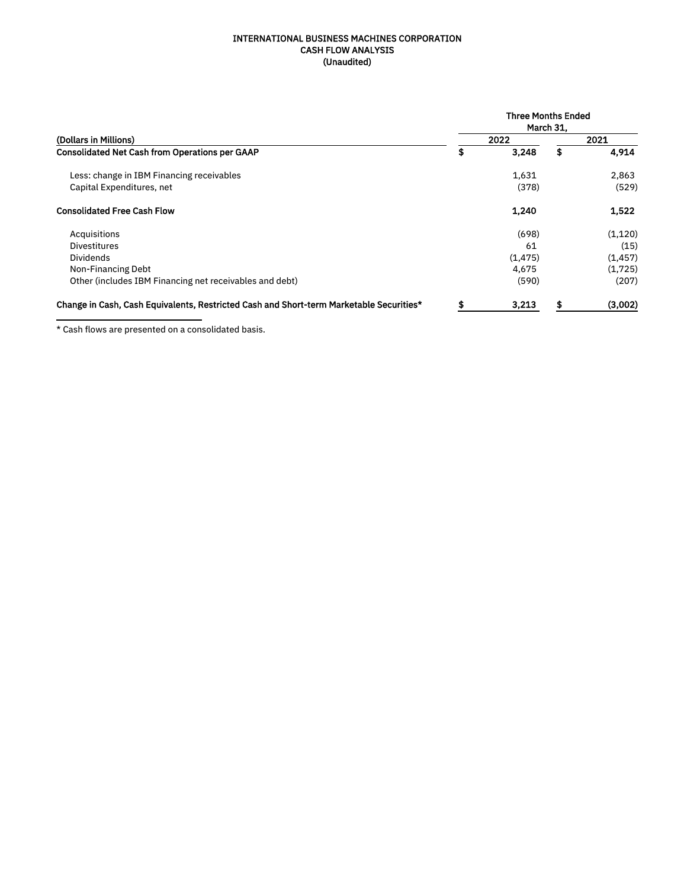#### INTERNATIONAL BUSINESS MACHINES CORPORATION CASH FLOW ANALYSIS (Unaudited)

|                                                                                         | <b>Three Months Ended</b><br>March 31. |         |      |          |  |  |  |  |  |  |  |
|-----------------------------------------------------------------------------------------|----------------------------------------|---------|------|----------|--|--|--|--|--|--|--|
| (Dollars in Millions)                                                                   |                                        | 2022    | 2021 |          |  |  |  |  |  |  |  |
| <b>Consolidated Net Cash from Operations per GAAP</b>                                   | \$                                     | 3,248   | \$   | 4,914    |  |  |  |  |  |  |  |
| Less: change in IBM Financing receivables                                               |                                        | 1,631   |      | 2,863    |  |  |  |  |  |  |  |
| Capital Expenditures, net                                                               |                                        | (378)   |      | (529)    |  |  |  |  |  |  |  |
| <b>Consolidated Free Cash Flow</b>                                                      |                                        | 1,240   |      | 1,522    |  |  |  |  |  |  |  |
| Acquisitions                                                                            |                                        | (698)   |      | (1,120)  |  |  |  |  |  |  |  |
| <b>Divestitures</b>                                                                     |                                        | 61      |      | (15)     |  |  |  |  |  |  |  |
| <b>Dividends</b>                                                                        |                                        | (1.475) |      | (1, 457) |  |  |  |  |  |  |  |
| Non-Financing Debt                                                                      |                                        | 4.675   |      | (1,725)  |  |  |  |  |  |  |  |
| Other (includes IBM Financing net receivables and debt)                                 |                                        | (590)   |      | (207)    |  |  |  |  |  |  |  |
| Change in Cash, Cash Equivalents, Restricted Cash and Short-term Marketable Securities* | £                                      | 3,213   | \$   | (3,002)  |  |  |  |  |  |  |  |

\* Cash flows are presented on a consolidated basis.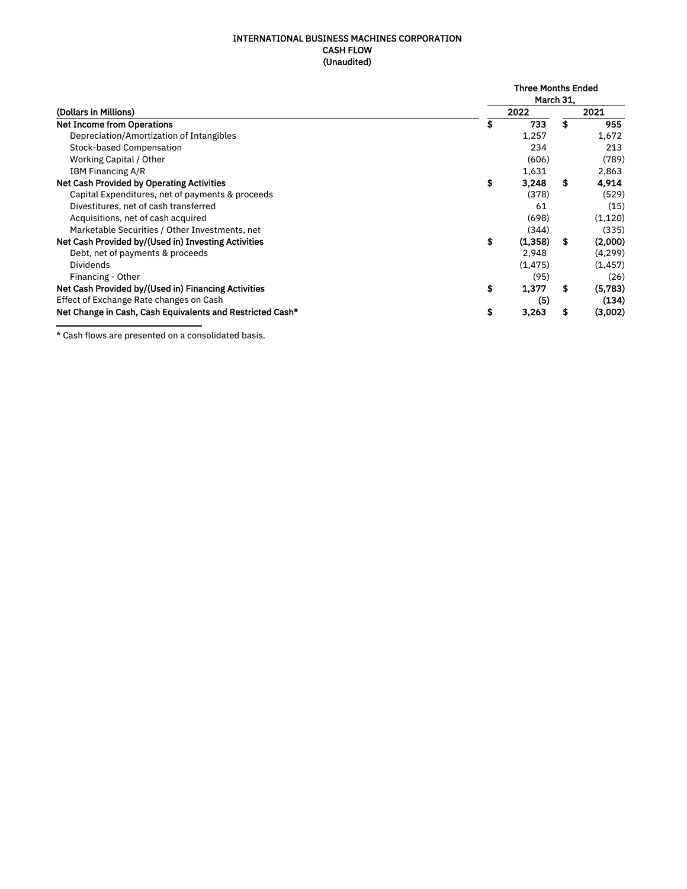#### INTERNATIONAL BUSINESS MACHINES CORPORATION CASH FLOW (Unaudited)

|                                                                                                                                                                                                                                                                                                |    | <b>Three Months Ended</b> |    |          |  |  |  |  |  |
|------------------------------------------------------------------------------------------------------------------------------------------------------------------------------------------------------------------------------------------------------------------------------------------------|----|---------------------------|----|----------|--|--|--|--|--|
|                                                                                                                                                                                                                                                                                                |    | March 31,                 |    |          |  |  |  |  |  |
| (Dollars in Millions)<br>Depreciation/Amortization of Intangibles<br><b>Stock-based Compensation</b><br>Working Capital / Other<br><b>IBM Financing A/R</b><br>Capital Expenditures, net of payments & proceeds<br>Divestitures, net of cash transferred<br>Acquisitions, net of cash acquired |    | 2022                      |    | 2021     |  |  |  |  |  |
| <b>Net Income from Operations</b>                                                                                                                                                                                                                                                              | S  | 733                       | \$ | 955      |  |  |  |  |  |
|                                                                                                                                                                                                                                                                                                |    | 1,257                     |    | 1,672    |  |  |  |  |  |
|                                                                                                                                                                                                                                                                                                |    | 234                       |    | 213      |  |  |  |  |  |
|                                                                                                                                                                                                                                                                                                |    | (606)                     |    | (789)    |  |  |  |  |  |
|                                                                                                                                                                                                                                                                                                |    | 1,631                     |    | 2,863    |  |  |  |  |  |
| <b>Net Cash Provided by Operating Activities</b>                                                                                                                                                                                                                                               | \$ | 3.248                     | \$ | 4.914    |  |  |  |  |  |
|                                                                                                                                                                                                                                                                                                |    | (378)                     |    | (529)    |  |  |  |  |  |
|                                                                                                                                                                                                                                                                                                |    | 61                        |    | (15)     |  |  |  |  |  |
|                                                                                                                                                                                                                                                                                                |    | (698)                     |    | (1, 120) |  |  |  |  |  |
| Marketable Securities / Other Investments, net                                                                                                                                                                                                                                                 |    | (344)                     |    | (335)    |  |  |  |  |  |
| Net Cash Provided by/(Used in) Investing Activities                                                                                                                                                                                                                                            | \$ | (1,358)                   | -S | (2,000)  |  |  |  |  |  |
| Debt, net of payments & proceeds                                                                                                                                                                                                                                                               |    | 2,948                     |    | (4, 299) |  |  |  |  |  |
| <b>Dividends</b>                                                                                                                                                                                                                                                                               |    | (1, 475)                  |    | (1, 457) |  |  |  |  |  |
| Financing - Other                                                                                                                                                                                                                                                                              |    | (95)                      |    | (26)     |  |  |  |  |  |
| Net Cash Provided by/(Used in) Financing Activities                                                                                                                                                                                                                                            | \$ | 1,377                     | S  | (5,783)  |  |  |  |  |  |
| Effect of Exchange Rate changes on Cash                                                                                                                                                                                                                                                        |    | (5)                       |    | (134)    |  |  |  |  |  |
| Net Change in Cash, Cash Equivalents and Restricted Cash*                                                                                                                                                                                                                                      | S  | 3.263                     | S  | (3,002)  |  |  |  |  |  |

\* Cash flows are presented on a consolidated basis.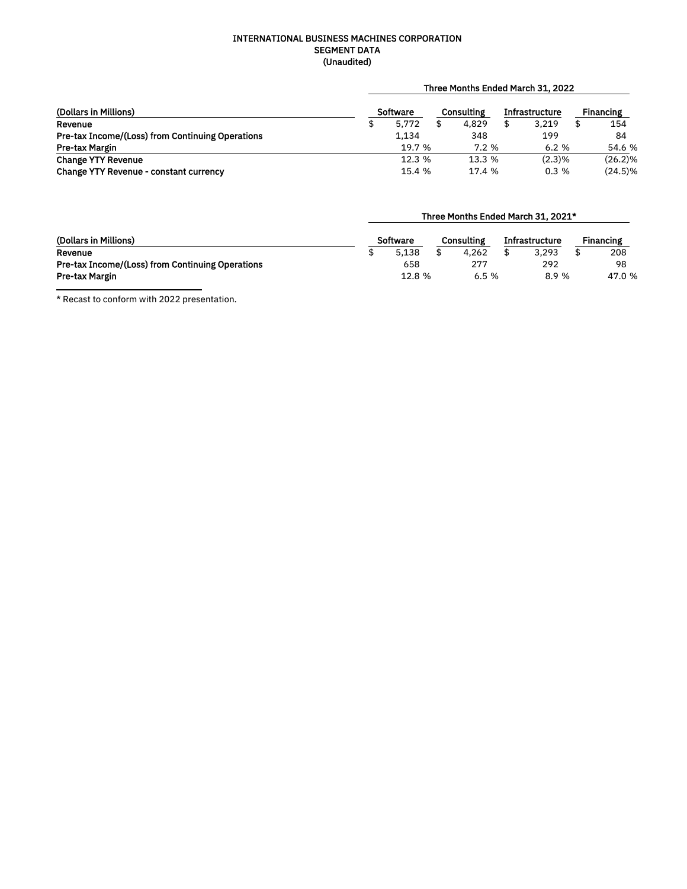#### INTERNATIONAL BUSINESS MACHINES CORPORATION SEGMENT DATA (Unaudited)

### Three Months Ended March 31, 2022

| (Dollars in Millions)                                   | <b>Software</b> |        |  | Consulting | <b>Infrastructure</b> | Financing |            |
|---------------------------------------------------------|-----------------|--------|--|------------|-----------------------|-----------|------------|
| Revenue                                                 |                 | 5.772  |  | 4.829      | 3.219                 |           | 154        |
| <b>Pre-tax Income/(Loss) from Continuing Operations</b> |                 | 1.134  |  | 348        | 199                   |           | 84         |
| Pre-tax Margin                                          |                 | 19.7 % |  | 7.2%       | 6.2%                  |           | 54.6 %     |
| <b>Change YTY Revenue</b>                               |                 | 12.3 % |  | 13.3%      | $(2.3)\%$             |           | $(26.2)\%$ |
| <b>Change YTY Revenue - constant currency</b>           |                 | 15.4 % |  | 17.4 %     | 0.3%                  |           | $(24.5)\%$ |

### Three Months Ended March 31, 2021\*

| (Dollars in Millions)                                   | Software |        |  | Consulting | <b>Infrastructure</b> | Financing |       |  |
|---------------------------------------------------------|----------|--------|--|------------|-----------------------|-----------|-------|--|
| Revenue                                                 |          | 5.138  |  | 4.262      | 3.293                 |           | 208   |  |
| <b>Pre-tax Income/(Loss) from Continuing Operations</b> |          | 658    |  | 277        | 292                   |           | 98    |  |
| Pre-tax Margin                                          |          | 12.8 % |  | 6.5%       | 8.9%                  |           | 47.0% |  |

\* Recast to conform with 2022 presentation.